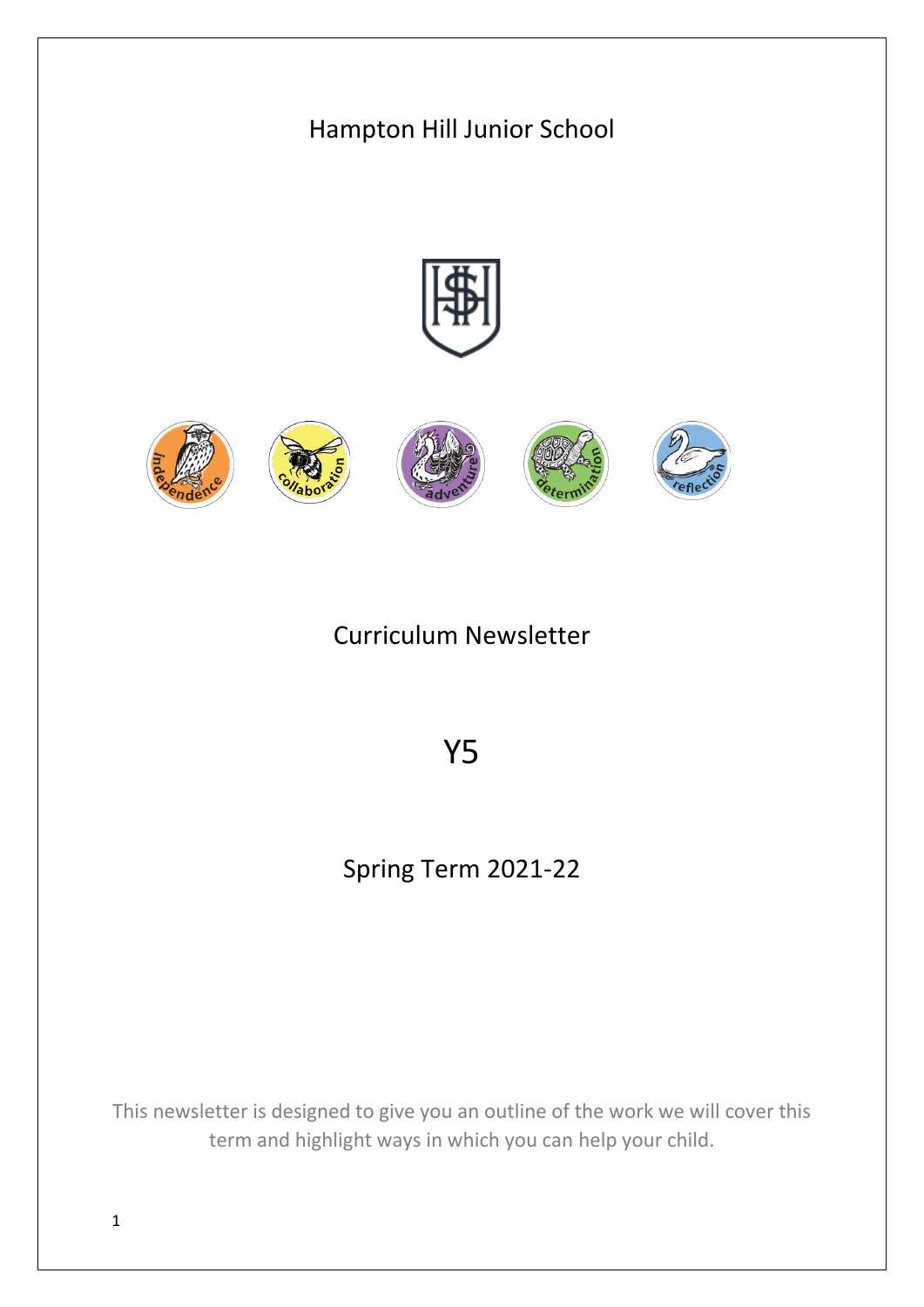

1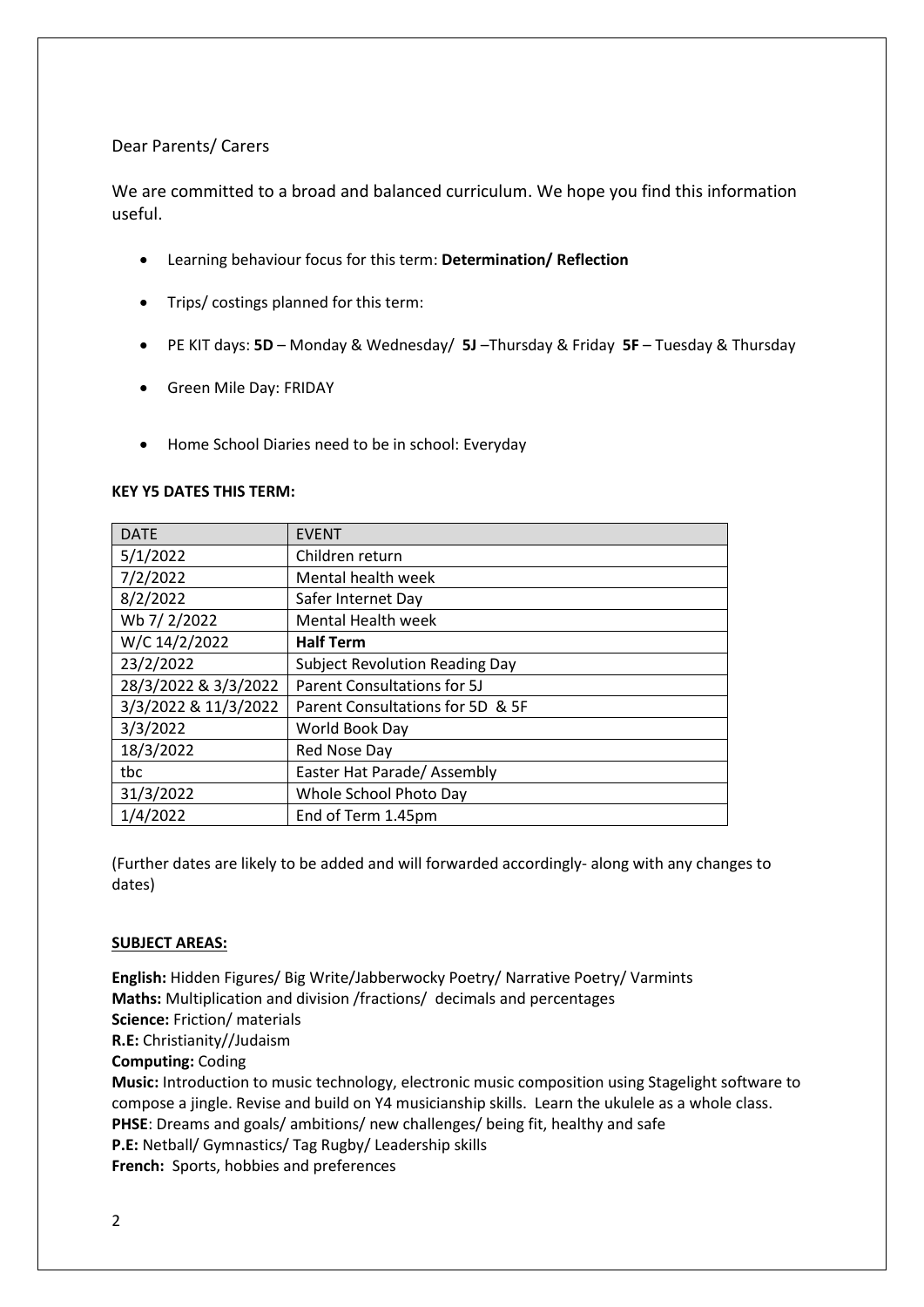## Dear Parents/ Carers

We are committed to a broad and balanced curriculum. We hope you find this information useful.

- Learning behaviour focus for this term: **Determination/ Reflection**
- Trips/ costings planned for this term:
- PE KIT days: **5D** Monday & Wednesday/ **5J** –Thursday & Friday **5F** Tuesday & Thursday
- Green Mile Day: FRIDAY
- Home School Diaries need to be in school: Everyday

## **KEY Y5 DATES THIS TERM:**

| <b>DATE</b>          | <b>EVENT</b>                          |
|----------------------|---------------------------------------|
| 5/1/2022             | Children return                       |
| 7/2/2022             | Mental health week                    |
| 8/2/2022             | Safer Internet Day                    |
| Wb 7/2/2022          | <b>Mental Health week</b>             |
| W/C 14/2/2022        | <b>Half Term</b>                      |
| 23/2/2022            | <b>Subject Revolution Reading Day</b> |
| 28/3/2022 & 3/3/2022 | <b>Parent Consultations for 5J</b>    |
| 3/3/2022 & 11/3/2022 | Parent Consultations for 5D & 5F      |
| 3/3/2022             | World Book Day                        |
| 18/3/2022            | Red Nose Day                          |
| tbc                  | Easter Hat Parade/ Assembly           |
| 31/3/2022            | Whole School Photo Day                |
| 1/4/2022             | End of Term 1.45pm                    |

(Further dates are likely to be added and will forwarded accordingly- along with any changes to dates)

## **SUBJECT AREAS:**

**English:** Hidden Figures/ Big Write/Jabberwocky Poetry/ Narrative Poetry/ Varmints **Maths:** Multiplication and division /fractions/ decimals and percentages **Science:** Friction/ materials **R.E:** Christianity//Judaism **Computing:** Coding **Music:** Introduction to music technology, electronic music composition using Stagelight software to compose a jingle. Revise and build on Y4 musicianship skills. Learn the ukulele as a whole class. **PHSE**: Dreams and goals/ ambitions/ new challenges/ being fit, healthy and safe **P.E:** Netball/ Gymnastics/ Tag Rugby/ Leadership skills **French:** Sports, hobbies and preferences